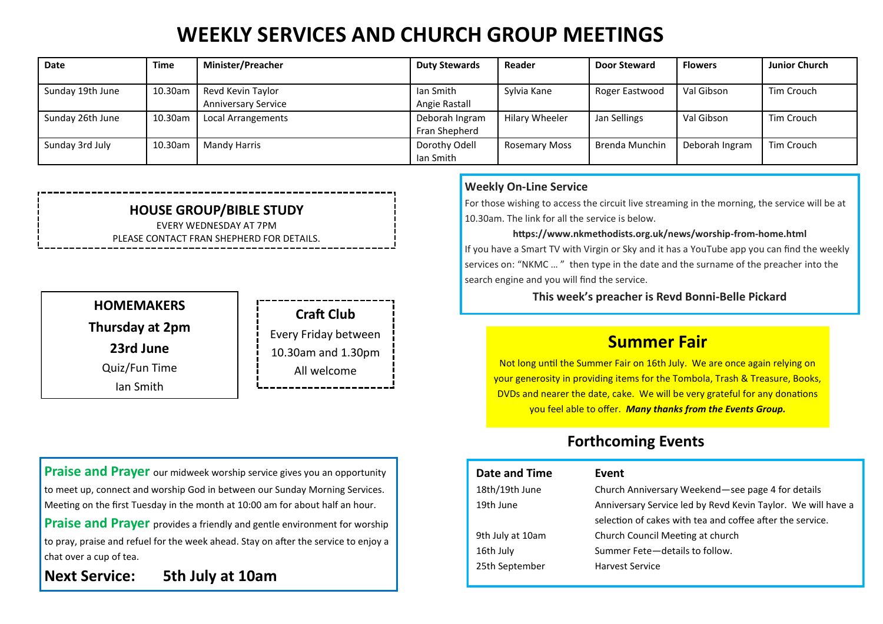# **WEEKLY SERVICES AND CHURCH GROUP MEETINGS**

| Date             | Time    | <b>Minister/Preacher</b>   | <b>Duty Stewards</b> | Reader               | <b>Door Steward</b> | <b>Flowers</b> | <b>Junior Church</b> |
|------------------|---------|----------------------------|----------------------|----------------------|---------------------|----------------|----------------------|
|                  |         |                            |                      |                      |                     |                |                      |
| Sunday 19th June | 10.30am | Revd Kevin Taylor          | lan Smith            | Sylvia Kane          | Roger Eastwood      | Val Gibson     | Tim Crouch           |
|                  |         | <b>Anniversary Service</b> | Angie Rastall        |                      |                     |                |                      |
| Sunday 26th June | 10.30am | Local Arrangements         | Deborah Ingram       | Hilary Wheeler       | Jan Sellings        | Val Gibson     | Tim Crouch           |
|                  |         |                            | Fran Shepherd        |                      |                     |                |                      |
| Sunday 3rd July  | 10.30am | Mandy Harris               | Dorothy Odell        | <b>Rosemary Moss</b> | Brenda Munchin      | Deborah Ingram | Tim Crouch           |
|                  |         |                            | lan Smith            |                      |                     |                |                      |

#### **HOUSE GROUP/BIBLE STUDY** EVERY WEDNESDAY AT 7PM

PLEASE CONTACT FRAN SHEPHERD FOR DETAILS.

### **HOMEMAKERS Thursday at 2pm 23rd June** Quiz/Fun Time

Ian Smith

**Craft Club** Every Friday between 10.30am and 1.30pm

All welcome

**Praise and Prayer** our midweek worship service gives you an opportunity to meet up, connect and worship God in between our Sunday Morning Services. Meeting on the first Tuesday in the month at 10:00 am for about half an hour.

**Praise and Prayer** provides a friendly and gentle environment for worship to pray, praise and refuel for the week ahead. Stay on after the service to enjoy a chat over a cup of tea.

**Next Service: 5th July at 10am**

#### **Weekly On-Line Service**

For those wishing to access the circuit live streaming in the morning, the service will be at 10.30am. The link for all the service is below.

#### **https://www.nkmethodists.org.uk/news/worship-from-home.html**

If you have a Smart TV with Virgin or Sky and it has a YouTube app you can find the weekly services on: "NKMC … " then type in the date and the surname of the preacher into the search engine and you will find the service.

**This week's preacher is Revd Bonni-Belle Pickard**

### **Summer Fair**

Not long until the Summer Fair on 16th July. We are once again relying on your generosity in providing items for the Tombola, Trash & Treasure, Books, DVDs and nearer the date, cake. We will be very grateful for any donations you feel able to offer. *Many thanks from the Events Group.*

### **Forthcoming Events**

| Date and Time    | Event                                                        |
|------------------|--------------------------------------------------------------|
| 18th/19th June   | Church Anniversary Weekend-see page 4 for details            |
| 19th June        | Anniversary Service led by Revd Kevin Taylor. We will have a |
|                  | selection of cakes with tea and coffee after the service.    |
| 9th July at 10am | Church Council Meeting at church                             |
| 16th July        | Summer Fete-details to follow.                               |
| 25th September   | <b>Harvest Service</b>                                       |